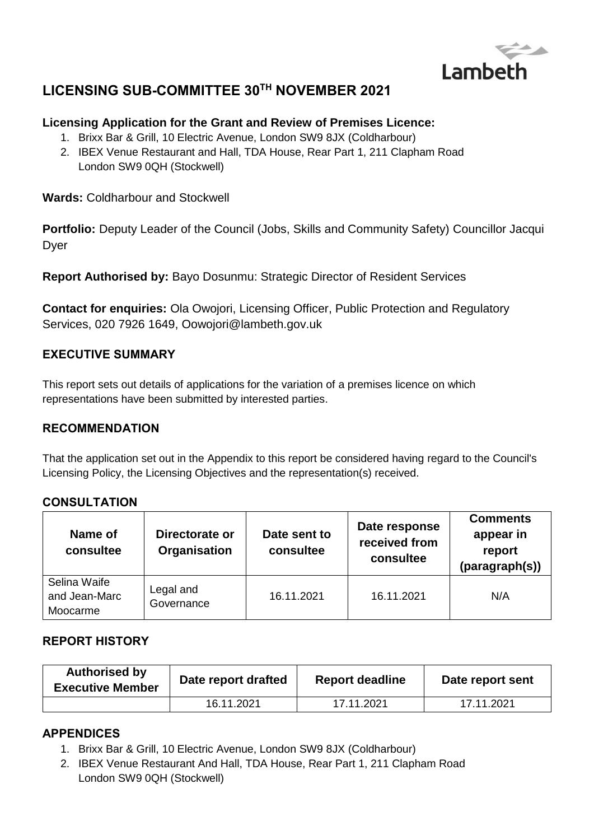

# **LICENSING SUB-COMMITTEE 30TH NOVEMBER 2021**

### **Licensing Application for the Grant and Review of Premises Licence:**

- 1. Brixx Bar & Grill, 10 Electric Avenue, London SW9 8JX (Coldharbour)
- 2. IBEX Venue Restaurant and Hall, TDA House, Rear Part 1, 211 Clapham Road London SW9 0QH (Stockwell)

**Wards:** Coldharbour and Stockwell

**Portfolio:** Deputy Leader of the Council (Jobs, Skills and Community Safety) Councillor Jacqui Dyer

**Report Authorised by:** Bayo Dosunmu: Strategic Director of Resident Services

**Contact for enquiries:** Ola Owojori, Licensing Officer, Public Protection and Regulatory Services, 020 7926 1649, Oowojori@lambeth.gov.uk

### **EXECUTIVE SUMMARY**

This report sets out details of applications for the variation of a premises licence on which representations have been submitted by interested parties.

#### **RECOMMENDATION**

That the application set out in the Appendix to this report be considered having regard to the Council's Licensing Policy, the Licensing Objectives and the representation(s) received.

#### **CONSULTATION**

| Name of<br>consultee                      | Directorate or<br><b>Organisation</b> | Date sent to<br>consultee | Date response<br>received from<br>consultee | <b>Comments</b><br>appear in<br>report<br>(paragraph(s)) |
|-------------------------------------------|---------------------------------------|---------------------------|---------------------------------------------|----------------------------------------------------------|
| Selina Waife<br>and Jean-Marc<br>Moocarme | Legal and<br>Governance               | 16.11.2021                | 16.11.2021                                  | N/A                                                      |

### **REPORT HISTORY**

| <b>Authorised by</b><br><b>Executive Member</b> | Date report drafted | <b>Report deadline</b> | Date report sent |
|-------------------------------------------------|---------------------|------------------------|------------------|
|                                                 | 16.11.2021          | 17.11.2021             | 17.11.2021       |

#### **APPENDICES**

- 1. Brixx Bar & Grill, 10 Electric Avenue, London SW9 8JX (Coldharbour)
- 2. IBEX Venue Restaurant And Hall, TDA House, Rear Part 1, 211 Clapham Road London SW9 0QH (Stockwell)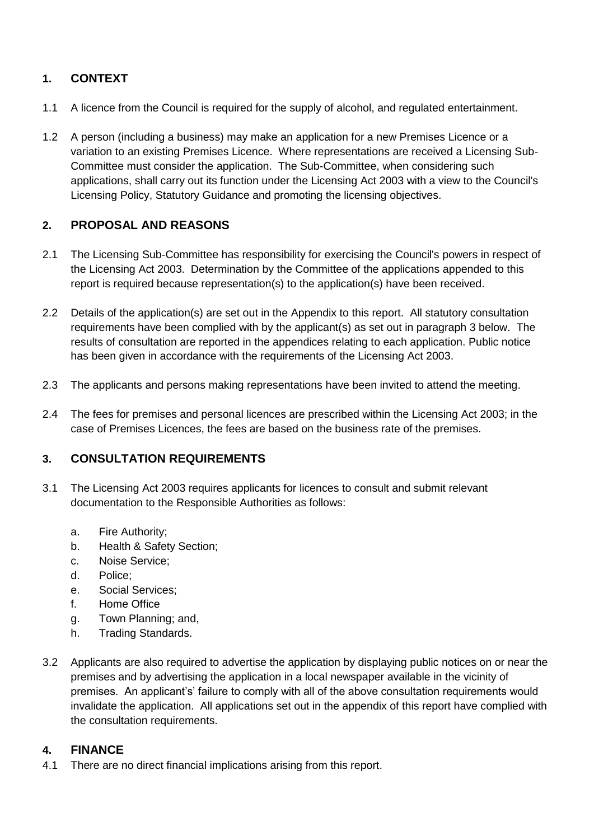# **1. CONTEXT**

- 1.1 A licence from the Council is required for the supply of alcohol, and regulated entertainment.
- 1.2 A person (including a business) may make an application for a new Premises Licence or a variation to an existing Premises Licence. Where representations are received a Licensing Sub-Committee must consider the application. The Sub-Committee, when considering such applications, shall carry out its function under the Licensing Act 2003 with a view to the Council's Licensing Policy, Statutory Guidance and promoting the licensing objectives.

# **2. PROPOSAL AND REASONS**

- 2.1 The Licensing Sub-Committee has responsibility for exercising the Council's powers in respect of the Licensing Act 2003. Determination by the Committee of the applications appended to this report is required because representation(s) to the application(s) have been received.
- 2.2 Details of the application(s) are set out in the Appendix to this report. All statutory consultation requirements have been complied with by the applicant(s) as set out in paragraph 3 below. The results of consultation are reported in the appendices relating to each application. Public notice has been given in accordance with the requirements of the Licensing Act 2003.
- 2.3 The applicants and persons making representations have been invited to attend the meeting.
- 2.4 The fees for premises and personal licences are prescribed within the Licensing Act 2003; in the case of Premises Licences, the fees are based on the business rate of the premises.

## **3. CONSULTATION REQUIREMENTS**

- 3.1 The Licensing Act 2003 requires applicants for licences to consult and submit relevant documentation to the Responsible Authorities as follows:
	- a. Fire Authority;
	- b. Health & Safety Section;
	- c. Noise Service;
	- d. Police;
	- e. Social Services;
	- f. Home Office
	- g. Town Planning; and,
	- h. Trading Standards.
- 3.2 Applicants are also required to advertise the application by displaying public notices on or near the premises and by advertising the application in a local newspaper available in the vicinity of premises. An applicant's' failure to comply with all of the above consultation requirements would invalidate the application. All applications set out in the appendix of this report have complied with the consultation requirements.

#### **4. FINANCE**

4.1 There are no direct financial implications arising from this report.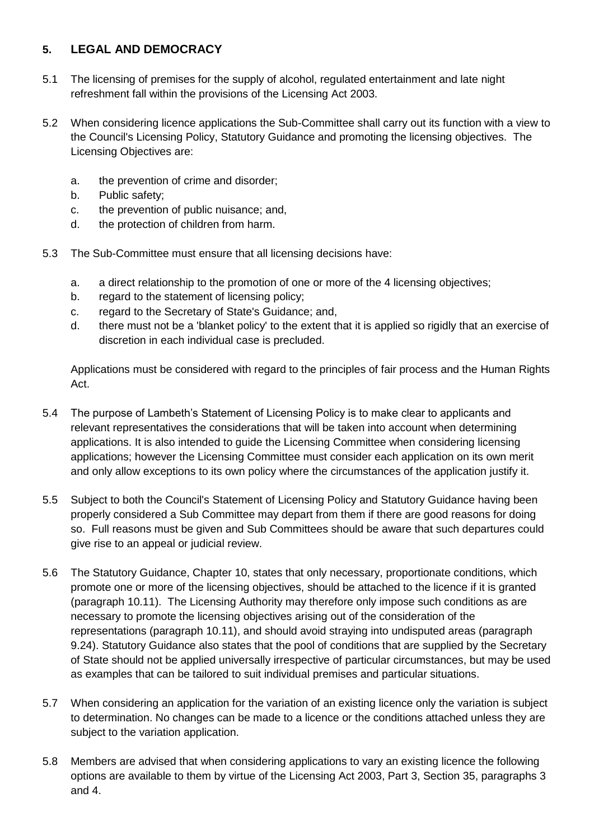## **5. LEGAL AND DEMOCRACY**

- 5.1 The licensing of premises for the supply of alcohol, regulated entertainment and late night refreshment fall within the provisions of the Licensing Act 2003.
- 5.2 When considering licence applications the Sub-Committee shall carry out its function with a view to the Council's Licensing Policy, Statutory Guidance and promoting the licensing objectives. The Licensing Objectives are:
	- a. the prevention of crime and disorder;
	- b. Public safety;
	- c. the prevention of public nuisance; and,
	- d. the protection of children from harm.
- 5.3 The Sub-Committee must ensure that all licensing decisions have:
	- a. a direct relationship to the promotion of one or more of the 4 licensing objectives;
	- b. regard to the statement of licensing policy;
	- c. regard to the Secretary of State's Guidance; and,
	- d. there must not be a 'blanket policy' to the extent that it is applied so rigidly that an exercise of discretion in each individual case is precluded.

Applications must be considered with regard to the principles of fair process and the Human Rights Act.

- 5.4 The purpose of Lambeth's Statement of Licensing Policy is to make clear to applicants and relevant representatives the considerations that will be taken into account when determining applications. It is also intended to guide the Licensing Committee when considering licensing applications; however the Licensing Committee must consider each application on its own merit and only allow exceptions to its own policy where the circumstances of the application justify it.
- 5.5 Subject to both the Council's Statement of Licensing Policy and Statutory Guidance having been properly considered a Sub Committee may depart from them if there are good reasons for doing so. Full reasons must be given and Sub Committees should be aware that such departures could give rise to an appeal or judicial review.
- 5.6 The Statutory Guidance, Chapter 10, states that only necessary, proportionate conditions, which promote one or more of the licensing objectives, should be attached to the licence if it is granted (paragraph 10.11). The Licensing Authority may therefore only impose such conditions as are necessary to promote the licensing objectives arising out of the consideration of the representations (paragraph 10.11), and should avoid straying into undisputed areas (paragraph 9.24). Statutory Guidance also states that the pool of conditions that are supplied by the Secretary of State should not be applied universally irrespective of particular circumstances, but may be used as examples that can be tailored to suit individual premises and particular situations.
- 5.7 When considering an application for the variation of an existing licence only the variation is subject to determination. No changes can be made to a licence or the conditions attached unless they are subject to the variation application.
- 5.8 Members are advised that when considering applications to vary an existing licence the following options are available to them by virtue of the Licensing Act 2003, Part 3, Section 35, paragraphs 3 and 4.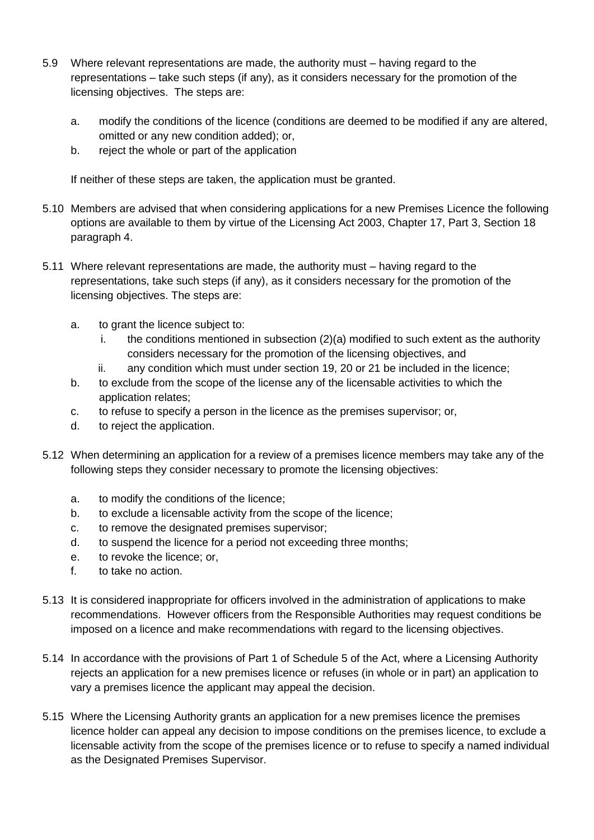- 5.9 Where relevant representations are made, the authority must having regard to the representations – take such steps (if any), as it considers necessary for the promotion of the licensing objectives. The steps are:
	- a. modify the conditions of the licence (conditions are deemed to be modified if any are altered, omitted or any new condition added); or,
	- b. reject the whole or part of the application

If neither of these steps are taken, the application must be granted.

- 5.10 Members are advised that when considering applications for a new Premises Licence the following options are available to them by virtue of the Licensing Act 2003, Chapter 17, Part 3, Section 18 paragraph 4.
- 5.11 Where relevant representations are made, the authority must having regard to the representations, take such steps (if any), as it considers necessary for the promotion of the licensing objectives. The steps are:
	- a. to grant the licence subject to:
		- i. the conditions mentioned in subsection (2)(a) modified to such extent as the authority considers necessary for the promotion of the licensing objectives, and
		- ii. any condition which must under section 19, 20 or 21 be included in the licence;
	- b. to exclude from the scope of the license any of the licensable activities to which the application relates;
	- c. to refuse to specify a person in the licence as the premises supervisor; or,
	- d. to reject the application.
- 5.12 When determining an application for a review of a premises licence members may take any of the following steps they consider necessary to promote the licensing objectives:
	- a. to modify the conditions of the licence;
	- b. to exclude a licensable activity from the scope of the licence;
	- c. to remove the designated premises supervisor;
	- d. to suspend the licence for a period not exceeding three months;
	- e. to revoke the licence; or,
	- f. to take no action.
- 5.13 It is considered inappropriate for officers involved in the administration of applications to make recommendations. However officers from the Responsible Authorities may request conditions be imposed on a licence and make recommendations with regard to the licensing objectives.
- 5.14 In accordance with the provisions of Part 1 of Schedule 5 of the Act, where a Licensing Authority rejects an application for a new premises licence or refuses (in whole or in part) an application to vary a premises licence the applicant may appeal the decision.
- 5.15 Where the Licensing Authority grants an application for a new premises licence the premises licence holder can appeal any decision to impose conditions on the premises licence, to exclude a licensable activity from the scope of the premises licence or to refuse to specify a named individual as the Designated Premises Supervisor.